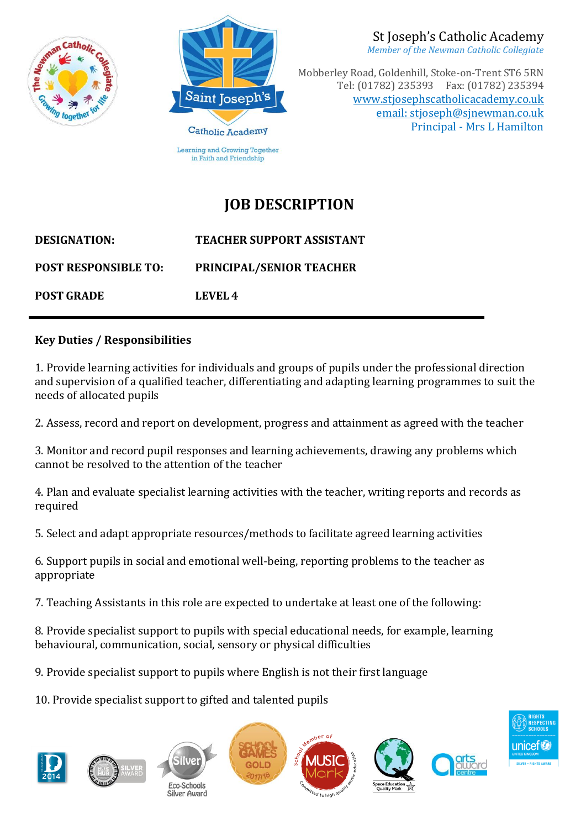



*Member of the Newman Catholic Collegiate*

Mobberley Road, Goldenhill, Stoke-on-Trent ST6 5RN Tel: (01782) 235393 Fax: (01782) 235394 [www.stjosephscatholicacademy.co.uk](http://www.stjosephscatholicacademy.co.uk/) email: stjoseph@sjnewman.co.uk Principal - Mrs L Hamilton

## **JOB DESCRIPTION**

**DESIGNATION: TEACHER SUPPORT ASSISTANT POST RESPONSIBLE TO: PRINCIPAL/SENIOR TEACHER POST GRADE LEVEL 4**

## **Key Duties / Responsibilities**

1. Provide learning activities for individuals and groups of pupils under the professional direction and supervision of a qualified teacher, differentiating and adapting learning programmes to suit the needs of allocated pupils

2. Assess, record and report on development, progress and attainment as agreed with the teacher

3. Monitor and record pupil responses and learning achievements, drawing any problems which cannot be resolved to the attention of the teacher

4. Plan and evaluate specialist learning activities with the teacher, writing reports and records as required

5. Select and adapt appropriate resources/methods to facilitate agreed learning activities

6. Support pupils in social and emotional well-being, reporting problems to the teacher as appropriate

7. Teaching Assistants in this role are expected to undertake at least one of the following:

8. Provide specialist support to pupils with special educational needs, for example, learning behavioural, communication, social, sensory or physical difficulties

9. Provide specialist support to pupils where English is not their first language

10. Provide specialist support to gifted and talented pupils